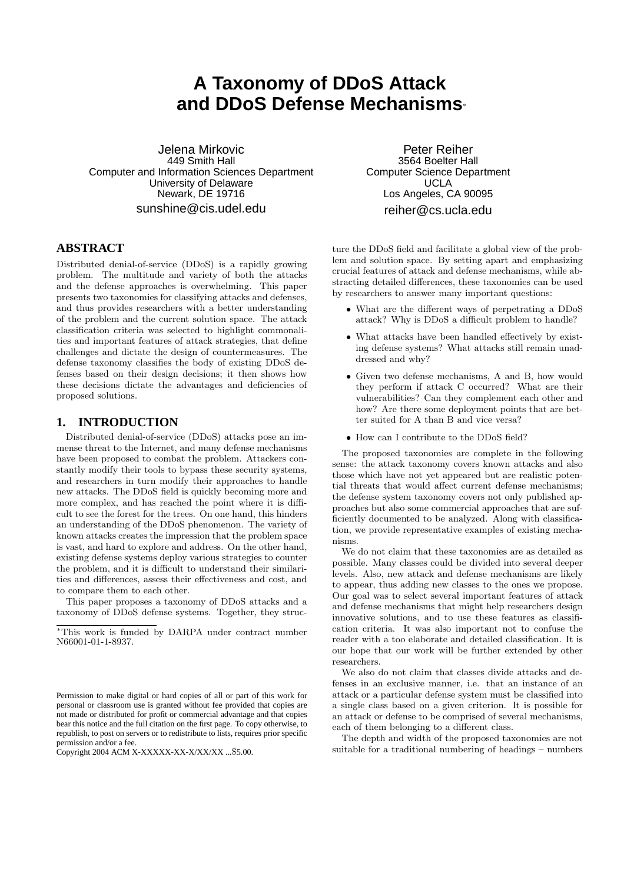# **A Taxonomy of DDoS Attack and DDoS Defense Mechanisms**<sup>∗</sup>

Jelena Mirkovic 449 Smith Hall Computer and Information Sciences Department University of Delaware Newark, DE 19716 sunshine@cis.udel.edu

**ABSTRACT**

Distributed denial-of-service (DDoS) is a rapidly growing problem. The multitude and variety of both the attacks and the defense approaches is overwhelming. This paper presents two taxonomies for classifying attacks and defenses, and thus provides researchers with a better understanding of the problem and the current solution space. The attack classification criteria was selected to highlight commonalities and important features of attack strategies, that define challenges and dictate the design of countermeasures. The defense taxonomy classifies the body of existing DDoS defenses based on their design decisions; it then shows how these decisions dictate the advantages and deficiencies of proposed solutions.

# **1. INTRODUCTION**

Distributed denial-of-service (DDoS) attacks pose an immense threat to the Internet, and many defense mechanisms have been proposed to combat the problem. Attackers constantly modify their tools to bypass these security systems, and researchers in turn modify their approaches to handle new attacks. The DDoS field is quickly becoming more and more complex, and has reached the point where it is difficult to see the forest for the trees. On one hand, this hinders an understanding of the DDoS phenomenon. The variety of known attacks creates the impression that the problem space is vast, and hard to explore and address. On the other hand, existing defense systems deploy various strategies to counter the problem, and it is difficult to understand their similarities and differences, assess their effectiveness and cost, and to compare them to each other.

This paper proposes a taxonomy of DDoS attacks and a taxonomy of DDoS defense systems. Together, they struc-

Peter Reiher 3564 Boelter Hall Computer Science Department UCLA Los Angeles, CA 90095 reiher@cs.ucla.edu

ture the DDoS field and facilitate a global view of the problem and solution space. By setting apart and emphasizing crucial features of attack and defense mechanisms, while abstracting detailed differences, these taxonomies can be used by researchers to answer many important questions:

- What are the different ways of perpetrating a DDoS attack? Why is DDoS a difficult problem to handle?
- What attacks have been handled effectively by existing defense systems? What attacks still remain unaddressed and why?
- Given two defense mechanisms, A and B, how would they perform if attack C occurred? What are their vulnerabilities? Can they complement each other and how? Are there some deployment points that are better suited for A than B and vice versa?
- How can I contribute to the DDoS field?

The proposed taxonomies are complete in the following sense: the attack taxonomy covers known attacks and also those which have not yet appeared but are realistic potential threats that would affect current defense mechanisms; the defense system taxonomy covers not only published approaches but also some commercial approaches that are sufficiently documented to be analyzed. Along with classification, we provide representative examples of existing mechanisms.

We do not claim that these taxonomies are as detailed as possible. Many classes could be divided into several deeper levels. Also, new attack and defense mechanisms are likely to appear, thus adding new classes to the ones we propose. Our goal was to select several important features of attack and defense mechanisms that might help researchers design innovative solutions, and to use these features as classification criteria. It was also important not to confuse the reader with a too elaborate and detailed classification. It is our hope that our work will be further extended by other researchers.

We also do not claim that classes divide attacks and defenses in an exclusive manner, i.e. that an instance of an attack or a particular defense system must be classified into a single class based on a given criterion. It is possible for an attack or defense to be comprised of several mechanisms, each of them belonging to a different class.

The depth and width of the proposed taxonomies are not suitable for a traditional numbering of headings – numbers

<sup>∗</sup>This work is funded by DARPA under contract number N66001-01-1-8937.

Permission to make digital or hard copies of all or part of this work for personal or classroom use is granted without fee provided that copies are not made or distributed for profit or commercial advantage and that copies bear this notice and the full citation on the first page. To copy otherwise, to republish, to post on servers or to redistribute to lists, requires prior specific permission and/or a fee.

Copyright 2004 ACM X-XXXXX-XX-X/XX/XX ...\$5.00.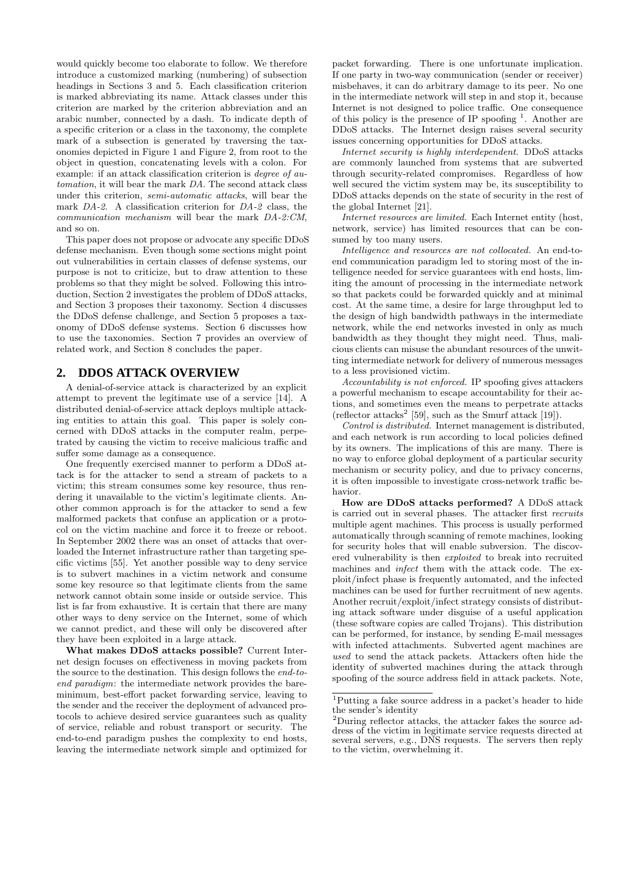would quickly become too elaborate to follow. We therefore introduce a customized marking (numbering) of subsection headings in Sections 3 and 5. Each classification criterion is marked abbreviating its name. Attack classes under this criterion are marked by the criterion abbreviation and an arabic number, connected by a dash. To indicate depth of a specific criterion or a class in the taxonomy, the complete mark of a subsection is generated by traversing the taxonomies depicted in Figure 1 and Figure 2, from root to the object in question, concatenating levels with a colon. For example: if an attack classification criterion is degree of automation, it will bear the mark DA. The second attack class under this criterion, semi-automatic attacks, will bear the mark DA-2. A classification criterion for DA-2 class, the communication mechanism will bear the mark DA-2:CM, and so on.

This paper does not propose or advocate any specific DDoS defense mechanism. Even though some sections might point out vulnerabilities in certain classes of defense systems, our purpose is not to criticize, but to draw attention to these problems so that they might be solved. Following this introduction, Section 2 investigates the problem of DDoS attacks, and Section 3 proposes their taxonomy. Section 4 discusses the DDoS defense challenge, and Section 5 proposes a taxonomy of DDoS defense systems. Section 6 discusses how to use the taxonomies. Section 7 provides an overview of related work, and Section 8 concludes the paper.

### **2. DDOS ATTACK OVERVIEW**

A denial-of-service attack is characterized by an explicit attempt to prevent the legitimate use of a service [14]. A distributed denial-of-service attack deploys multiple attacking entities to attain this goal. This paper is solely concerned with DDoS attacks in the computer realm, perpetrated by causing the victim to receive malicious traffic and suffer some damage as a consequence.

One frequently exercised manner to perform a DDoS attack is for the attacker to send a stream of packets to a victim; this stream consumes some key resource, thus rendering it unavailable to the victim's legitimate clients. Another common approach is for the attacker to send a few malformed packets that confuse an application or a protocol on the victim machine and force it to freeze or reboot. In September 2002 there was an onset of attacks that overloaded the Internet infrastructure rather than targeting specific victims [55]. Yet another possible way to deny service is to subvert machines in a victim network and consume some key resource so that legitimate clients from the same network cannot obtain some inside or outside service. This list is far from exhaustive. It is certain that there are many other ways to deny service on the Internet, some of which we cannot predict, and these will only be discovered after they have been exploited in a large attack.

What makes DDoS attacks possible? Current Internet design focuses on effectiveness in moving packets from the source to the destination. This design follows the end-toend paradigm: the intermediate network provides the bareminimum, best-effort packet forwarding service, leaving to the sender and the receiver the deployment of advanced protocols to achieve desired service guarantees such as quality of service, reliable and robust transport or security. The end-to-end paradigm pushes the complexity to end hosts, leaving the intermediate network simple and optimized for

packet forwarding. There is one unfortunate implication. If one party in two-way communication (sender or receiver) misbehaves, it can do arbitrary damage to its peer. No one in the intermediate network will step in and stop it, because Internet is not designed to police traffic. One consequence of this policy is the presence of IP spoofing  $<sup>1</sup>$ . Another are</sup> DDoS attacks. The Internet design raises several security issues concerning opportunities for DDoS attacks.

Internet security is highly interdependent. DDoS attacks are commonly launched from systems that are subverted through security-related compromises. Regardless of how well secured the victim system may be, its susceptibility to DDoS attacks depends on the state of security in the rest of the global Internet [21].

Internet resources are limited. Each Internet entity (host, network, service) has limited resources that can be consumed by too many users.

Intelligence and resources are not collocated. An end-toend communication paradigm led to storing most of the intelligence needed for service guarantees with end hosts, limiting the amount of processing in the intermediate network so that packets could be forwarded quickly and at minimal cost. At the same time, a desire for large throughput led to the design of high bandwidth pathways in the intermediate network, while the end networks invested in only as much bandwidth as they thought they might need. Thus, malicious clients can misuse the abundant resources of the unwitting intermediate network for delivery of numerous messages to a less provisioned victim.

Accountability is not enforced. IP spoofing gives attackers a powerful mechanism to escape accountability for their actions, and sometimes even the means to perpetrate attacks (reflector attacks<sup>2</sup> [59], such as the Smurf attack [19]).

Control is distributed. Internet management is distributed, and each network is run according to local policies defined by its owners. The implications of this are many. There is no way to enforce global deployment of a particular security mechanism or security policy, and due to privacy concerns, it is often impossible to investigate cross-network traffic behavior.

How are DDoS attacks performed? A DDoS attack is carried out in several phases. The attacker first recruits multiple agent machines. This process is usually performed automatically through scanning of remote machines, looking for security holes that will enable subversion. The discovered vulnerability is then exploited to break into recruited machines and infect them with the attack code. The exploit/infect phase is frequently automated, and the infected machines can be used for further recruitment of new agents. Another recruit/exploit/infect strategy consists of distributing attack software under disguise of a useful application (these software copies are called Trojans). This distribution can be performed, for instance, by sending E-mail messages with infected attachments. Subverted agent machines are used to send the attack packets. Attackers often hide the identity of subverted machines during the attack through spoofing of the source address field in attack packets. Note,

 $\overline{\text{1}}\text{Putting}$  a fake source address in a packet's header to hide the sender's identity

<sup>2</sup>During reflector attacks, the attacker fakes the source address of the victim in legitimate service requests directed at several servers, e.g., DNS requests. The servers then reply to the victim, overwhelming it.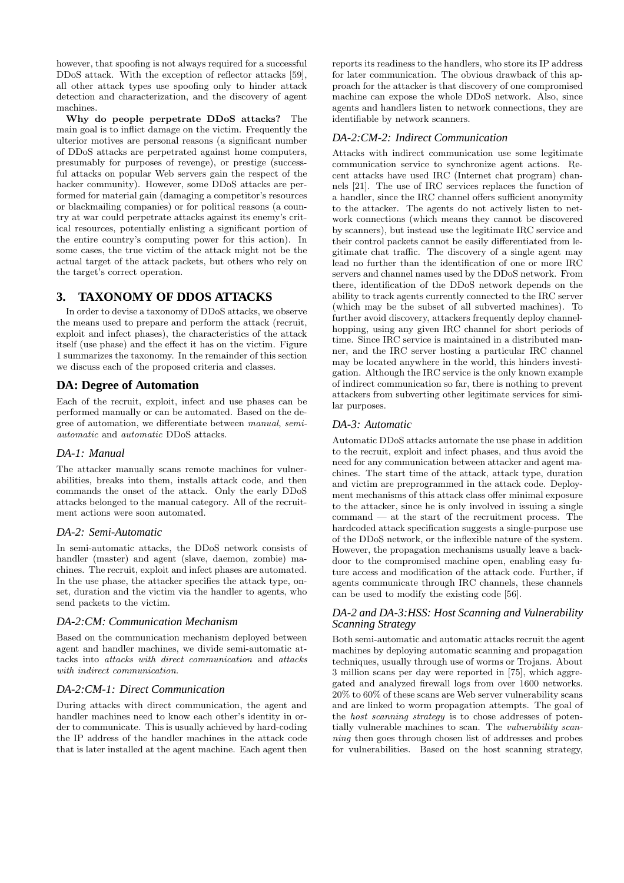however, that spoofing is not always required for a successful DDoS attack. With the exception of reflector attacks [59], all other attack types use spoofing only to hinder attack detection and characterization, and the discovery of agent machines.

Why do people perpetrate DDoS attacks? The main goal is to inflict damage on the victim. Frequently the ulterior motives are personal reasons (a significant number of DDoS attacks are perpetrated against home computers, presumably for purposes of revenge), or prestige (successful attacks on popular Web servers gain the respect of the hacker community). However, some DDoS attacks are performed for material gain (damaging a competitor's resources or blackmailing companies) or for political reasons (a country at war could perpetrate attacks against its enemy's critical resources, potentially enlisting a significant portion of the entire country's computing power for this action). In some cases, the true victim of the attack might not be the actual target of the attack packets, but others who rely on the target's correct operation.

# **3. TAXONOMY OF DDOS ATTACKS**

In order to devise a taxonomy of DDoS attacks, we observe the means used to prepare and perform the attack (recruit, exploit and infect phases), the characteristics of the attack itself (use phase) and the effect it has on the victim. Figure 1 summarizes the taxonomy. In the remainder of this section we discuss each of the proposed criteria and classes.

# **DA: Degree of Automation**

Each of the recruit, exploit, infect and use phases can be performed manually or can be automated. Based on the degree of automation, we differentiate between manual, semiautomatic and automatic DDoS attacks.

# *DA-1: Manual*

The attacker manually scans remote machines for vulnerabilities, breaks into them, installs attack code, and then commands the onset of the attack. Only the early DDoS attacks belonged to the manual category. All of the recruitment actions were soon automated.

# *DA-2: Semi-Automatic*

In semi-automatic attacks, the DDoS network consists of handler (master) and agent (slave, daemon, zombie) machines. The recruit, exploit and infect phases are automated. In the use phase, the attacker specifies the attack type, onset, duration and the victim via the handler to agents, who send packets to the victim.

# *DA-2:CM: Communication Mechanism*

Based on the communication mechanism deployed between agent and handler machines, we divide semi-automatic attacks into attacks with direct communication and attacks with indirect communication.

# *DA-2:CM-1: Direct Communication*

During attacks with direct communication, the agent and handler machines need to know each other's identity in order to communicate. This is usually achieved by hard-coding the IP address of the handler machines in the attack code that is later installed at the agent machine. Each agent then

reports its readiness to the handlers, who store its IP address for later communication. The obvious drawback of this approach for the attacker is that discovery of one compromised machine can expose the whole DDoS network. Also, since agents and handlers listen to network connections, they are identifiable by network scanners.

# *DA-2:CM-2: Indirect Communication*

Attacks with indirect communication use some legitimate communication service to synchronize agent actions. Recent attacks have used IRC (Internet chat program) channels [21]. The use of IRC services replaces the function of a handler, since the IRC channel offers sufficient anonymity to the attacker. The agents do not actively listen to network connections (which means they cannot be discovered by scanners), but instead use the legitimate IRC service and their control packets cannot be easily differentiated from legitimate chat traffic. The discovery of a single agent may lead no further than the identification of one or more IRC servers and channel names used by the DDoS network. From there, identification of the DDoS network depends on the ability to track agents currently connected to the IRC server (which may be the subset of all subverted machines). To further avoid discovery, attackers frequently deploy channelhopping, using any given IRC channel for short periods of time. Since IRC service is maintained in a distributed manner, and the IRC server hosting a particular IRC channel may be located anywhere in the world, this hinders investigation. Although the IRC service is the only known example of indirect communication so far, there is nothing to prevent attackers from subverting other legitimate services for similar purposes.

# *DA-3: Automatic*

Automatic DDoS attacks automate the use phase in addition to the recruit, exploit and infect phases, and thus avoid the need for any communication between attacker and agent machines. The start time of the attack, attack type, duration and victim are preprogrammed in the attack code. Deployment mechanisms of this attack class offer minimal exposure to the attacker, since he is only involved in issuing a single command — at the start of the recruitment process. The hardcoded attack specification suggests a single-purpose use of the DDoS network, or the inflexible nature of the system. However, the propagation mechanisms usually leave a backdoor to the compromised machine open, enabling easy future access and modification of the attack code. Further, if agents communicate through IRC channels, these channels can be used to modify the existing code [56].

# *DA-2 and DA-3:HSS: Host Scanning and Vulnerability Scanning Strategy*

Both semi-automatic and automatic attacks recruit the agent machines by deploying automatic scanning and propagation techniques, usually through use of worms or Trojans. About 3 million scans per day were reported in [75], which aggregated and analyzed firewall logs from over 1600 networks. 20% to 60% of these scans are Web server vulnerability scans and are linked to worm propagation attempts. The goal of the host scanning strategy is to chose addresses of potentially vulnerable machines to scan. The vulnerability scanning then goes through chosen list of addresses and probes for vulnerabilities. Based on the host scanning strategy,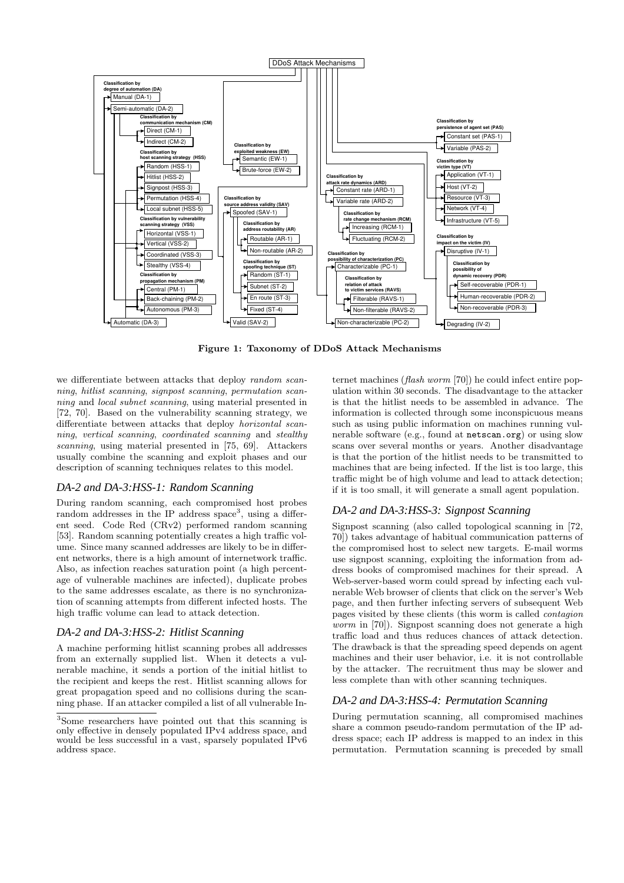

Figure 1: Taxonomy of DDoS Attack Mechanisms

we differentiate between attacks that deploy random scanning, hitlist scanning, signpost scanning, permutation scanning and local subnet scanning, using material presented in [72, 70]. Based on the vulnerability scanning strategy, we differentiate between attacks that deploy horizontal scanning, vertical scanning, coordinated scanning and stealthy scanning, using material presented in [75, 69]. Attackers usually combine the scanning and exploit phases and our description of scanning techniques relates to this model.

#### *DA-2 and DA-3:HSS-1: Random Scanning*

During random scanning, each compromised host probes random addresses in the IP address space<sup>3</sup>, using a different seed. Code Red (CRv2) performed random scanning [53]. Random scanning potentially creates a high traffic volume. Since many scanned addresses are likely to be in different networks, there is a high amount of internetwork traffic. Also, as infection reaches saturation point (a high percentage of vulnerable machines are infected), duplicate probes to the same addresses escalate, as there is no synchronization of scanning attempts from different infected hosts. The high traffic volume can lead to attack detection.

#### *DA-2 and DA-3:HSS-2: Hitlist Scanning*

A machine performing hitlist scanning probes all addresses from an externally supplied list. When it detects a vulnerable machine, it sends a portion of the initial hitlist to the recipient and keeps the rest. Hitlist scanning allows for great propagation speed and no collisions during the scanning phase. If an attacker compiled a list of all vulnerable In-

ternet machines (flash worm [70]) he could infect entire population within 30 seconds. The disadvantage to the attacker is that the hitlist needs to be assembled in advance. The information is collected through some inconspicuous means such as using public information on machines running vulnerable software (e.g., found at netscan.org) or using slow scans over several months or years. Another disadvantage is that the portion of the hitlist needs to be transmitted to machines that are being infected. If the list is too large, this traffic might be of high volume and lead to attack detection; if it is too small, it will generate a small agent population.

#### *DA-2 and DA-3:HSS-3: Signpost Scanning*

Signpost scanning (also called topological scanning in [72, 70]) takes advantage of habitual communication patterns of the compromised host to select new targets. E-mail worms use signpost scanning, exploiting the information from address books of compromised machines for their spread. A Web-server-based worm could spread by infecting each vulnerable Web browser of clients that click on the server's Web page, and then further infecting servers of subsequent Web pages visited by these clients (this worm is called contagion worm in [70]). Signpost scanning does not generate a high traffic load and thus reduces chances of attack detection. The drawback is that the spreading speed depends on agent machines and their user behavior, i.e. it is not controllable by the attacker. The recruitment thus may be slower and less complete than with other scanning techniques.

#### *DA-2 and DA-3:HSS-4: Permutation Scanning*

During permutation scanning, all compromised machines share a common pseudo-random permutation of the IP address space; each IP address is mapped to an index in this permutation. Permutation scanning is preceded by small

<sup>3</sup>Some researchers have pointed out that this scanning is only effective in densely populated IPv4 address space, and would be less successful in a vast, sparsely populated IPv6 address space.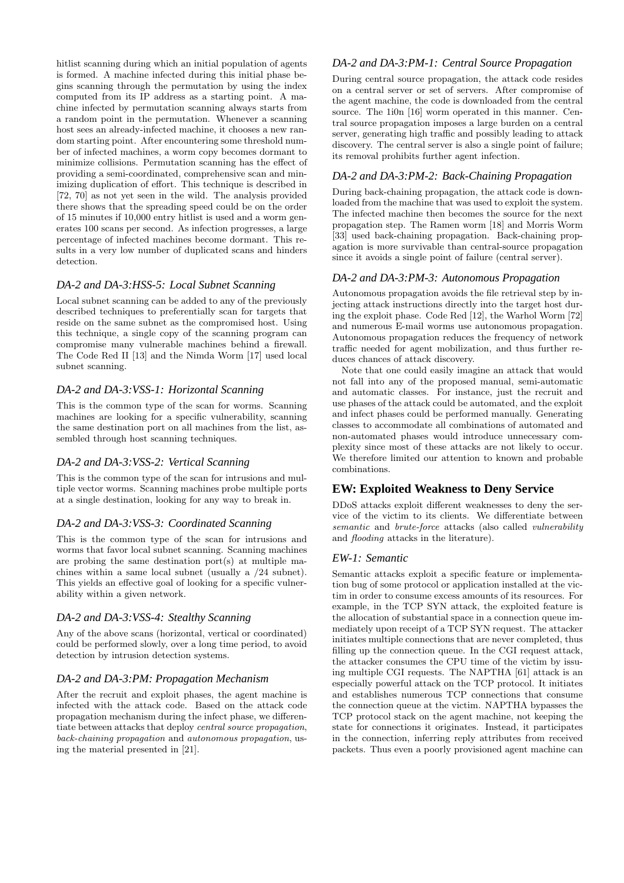hitlist scanning during which an initial population of agents is formed. A machine infected during this initial phase begins scanning through the permutation by using the index computed from its IP address as a starting point. A machine infected by permutation scanning always starts from a random point in the permutation. Whenever a scanning host sees an already-infected machine, it chooses a new random starting point. After encountering some threshold number of infected machines, a worm copy becomes dormant to minimize collisions. Permutation scanning has the effect of providing a semi-coordinated, comprehensive scan and minimizing duplication of effort. This technique is described in [72, 70] as not yet seen in the wild. The analysis provided there shows that the spreading speed could be on the order of 15 minutes if 10,000 entry hitlist is used and a worm generates 100 scans per second. As infection progresses, a large percentage of infected machines become dormant. This results in a very low number of duplicated scans and hinders detection.

# *DA-2 and DA-3:HSS-5: Local Subnet Scanning*

Local subnet scanning can be added to any of the previously described techniques to preferentially scan for targets that reside on the same subnet as the compromised host. Using this technique, a single copy of the scanning program can compromise many vulnerable machines behind a firewall. The Code Red II [13] and the Nimda Worm [17] used local subnet scanning.

# *DA-2 and DA-3:VSS-1: Horizontal Scanning*

This is the common type of the scan for worms. Scanning machines are looking for a specific vulnerability, scanning the same destination port on all machines from the list, assembled through host scanning techniques.

# *DA-2 and DA-3:VSS-2: Vertical Scanning*

This is the common type of the scan for intrusions and multiple vector worms. Scanning machines probe multiple ports at a single destination, looking for any way to break in.

#### *DA-2 and DA-3:VSS-3: Coordinated Scanning*

This is the common type of the scan for intrusions and worms that favor local subnet scanning. Scanning machines are probing the same destination port(s) at multiple machines within a same local subnet (usually a /24 subnet). This yields an effective goal of looking for a specific vulnerability within a given network.

# *DA-2 and DA-3:VSS-4: Stealthy Scanning*

Any of the above scans (horizontal, vertical or coordinated) could be performed slowly, over a long time period, to avoid detection by intrusion detection systems.

# *DA-2 and DA-3:PM: Propagation Mechanism*

After the recruit and exploit phases, the agent machine is infected with the attack code. Based on the attack code propagation mechanism during the infect phase, we differentiate between attacks that deploy central source propagation, back-chaining propagation and autonomous propagation, using the material presented in [21].

# *DA-2 and DA-3:PM-1: Central Source Propagation*

During central source propagation, the attack code resides on a central server or set of servers. After compromise of the agent machine, the code is downloaded from the central source. The 1i0n [16] worm operated in this manner. Central source propagation imposes a large burden on a central server, generating high traffic and possibly leading to attack discovery. The central server is also a single point of failure; its removal prohibits further agent infection.

# *DA-2 and DA-3:PM-2: Back-Chaining Propagation*

During back-chaining propagation, the attack code is downloaded from the machine that was used to exploit the system. The infected machine then becomes the source for the next propagation step. The Ramen worm [18] and Morris Worm [33] used back-chaining propagation. Back-chaining propagation is more survivable than central-source propagation since it avoids a single point of failure (central server).

### *DA-2 and DA-3:PM-3: Autonomous Propagation*

Autonomous propagation avoids the file retrieval step by injecting attack instructions directly into the target host during the exploit phase. Code Red [12], the Warhol Worm [72] and numerous E-mail worms use autonomous propagation. Autonomous propagation reduces the frequency of network traffic needed for agent mobilization, and thus further reduces chances of attack discovery.

Note that one could easily imagine an attack that would not fall into any of the proposed manual, semi-automatic and automatic classes. For instance, just the recruit and use phases of the attack could be automated, and the exploit and infect phases could be performed manually. Generating classes to accommodate all combinations of automated and non-automated phases would introduce unnecessary complexity since most of these attacks are not likely to occur. We therefore limited our attention to known and probable combinations.

# **EW: Exploited Weakness to Deny Service**

DDoS attacks exploit different weaknesses to deny the service of the victim to its clients. We differentiate between semantic and brute-force attacks (also called *vulnerability* and flooding attacks in the literature).

### *EW-1: Semantic*

Semantic attacks exploit a specific feature or implementation bug of some protocol or application installed at the victim in order to consume excess amounts of its resources. For example, in the TCP SYN attack, the exploited feature is the allocation of substantial space in a connection queue immediately upon receipt of a TCP SYN request. The attacker initiates multiple connections that are never completed, thus filling up the connection queue. In the CGI request attack, the attacker consumes the CPU time of the victim by issuing multiple CGI requests. The NAPTHA [61] attack is an especially powerful attack on the TCP protocol. It initiates and establishes numerous TCP connections that consume the connection queue at the victim. NAPTHA bypasses the TCP protocol stack on the agent machine, not keeping the state for connections it originates. Instead, it participates in the connection, inferring reply attributes from received packets. Thus even a poorly provisioned agent machine can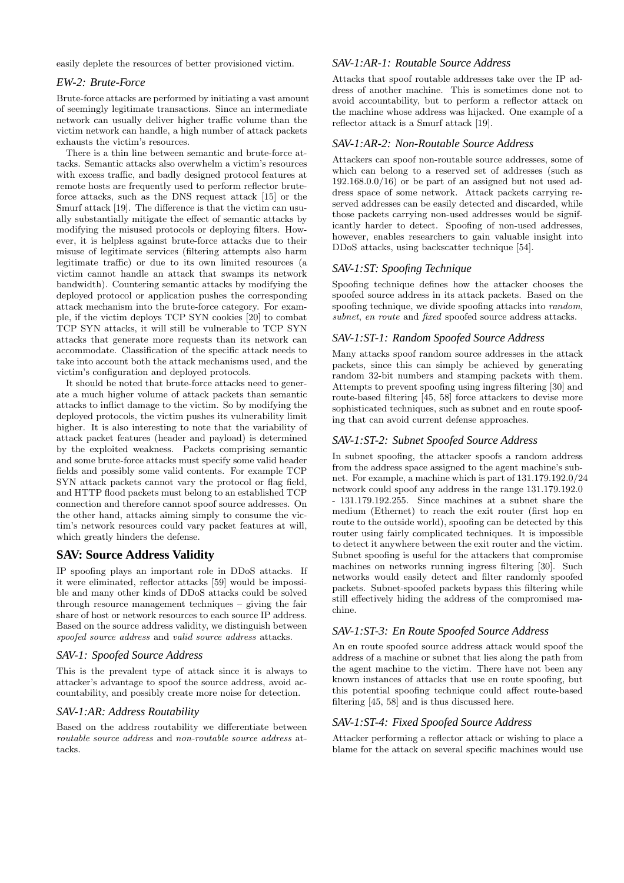easily deplete the resources of better provisioned victim.

#### *EW-2: Brute-Force*

Brute-force attacks are performed by initiating a vast amount of seemingly legitimate transactions. Since an intermediate network can usually deliver higher traffic volume than the victim network can handle, a high number of attack packets exhausts the victim's resources.

There is a thin line between semantic and brute-force attacks. Semantic attacks also overwhelm a victim's resources with excess traffic, and badly designed protocol features at remote hosts are frequently used to perform reflector bruteforce attacks, such as the DNS request attack [15] or the Smurf attack [19]. The difference is that the victim can usually substantially mitigate the effect of semantic attacks by modifying the misused protocols or deploying filters. However, it is helpless against brute-force attacks due to their misuse of legitimate services (filtering attempts also harm legitimate traffic) or due to its own limited resources (a victim cannot handle an attack that swamps its network bandwidth). Countering semantic attacks by modifying the deployed protocol or application pushes the corresponding attack mechanism into the brute-force category. For example, if the victim deploys TCP SYN cookies [20] to combat TCP SYN attacks, it will still be vulnerable to TCP SYN attacks that generate more requests than its network can accommodate. Classification of the specific attack needs to take into account both the attack mechanisms used, and the victim's configuration and deployed protocols.

It should be noted that brute-force attacks need to generate a much higher volume of attack packets than semantic attacks to inflict damage to the victim. So by modifying the deployed protocols, the victim pushes its vulnerability limit higher. It is also interesting to note that the variability of attack packet features (header and payload) is determined by the exploited weakness. Packets comprising semantic and some brute-force attacks must specify some valid header fields and possibly some valid contents. For example TCP SYN attack packets cannot vary the protocol or flag field, and HTTP flood packets must belong to an established TCP connection and therefore cannot spoof source addresses. On the other hand, attacks aiming simply to consume the victim's network resources could vary packet features at will, which greatly hinders the defense.

### **SAV: Source Address Validity**

IP spoofing plays an important role in DDoS attacks. If it were eliminated, reflector attacks [59] would be impossible and many other kinds of DDoS attacks could be solved through resource management techniques – giving the fair share of host or network resources to each source IP address. Based on the source address validity, we distinguish between spoofed source address and valid source address attacks.

#### *SAV-1: Spoofed Source Address*

This is the prevalent type of attack since it is always to attacker's advantage to spoof the source address, avoid accountability, and possibly create more noise for detection.

#### *SAV-1:AR: Address Routability*

Based on the address routability we differentiate between routable source address and non-routable source address attacks.

# *SAV-1:AR-1: Routable Source Address*

Attacks that spoof routable addresses take over the IP address of another machine. This is sometimes done not to avoid accountability, but to perform a reflector attack on the machine whose address was hijacked. One example of a reflector attack is a Smurf attack [19].

#### *SAV-1:AR-2: Non-Routable Source Address*

Attackers can spoof non-routable source addresses, some of which can belong to a reserved set of addresses (such as  $192.168.0.0/16$  or be part of an assigned but not used address space of some network. Attack packets carrying reserved addresses can be easily detected and discarded, while those packets carrying non-used addresses would be significantly harder to detect. Spoofing of non-used addresses, however, enables researchers to gain valuable insight into DDoS attacks, using backscatter technique [54].

### *SAV-1:ST: Spoofing Technique*

Spoofing technique defines how the attacker chooses the spoofed source address in its attack packets. Based on the spoofing technique, we divide spoofing attacks into *random*, subnet, en route and fixed spoofed source address attacks.

### *SAV-1:ST-1: Random Spoofed Source Address*

Many attacks spoof random source addresses in the attack packets, since this can simply be achieved by generating random 32-bit numbers and stamping packets with them. Attempts to prevent spoofing using ingress filtering [30] and route-based filtering [45, 58] force attackers to devise more sophisticated techniques, such as subnet and en route spoofing that can avoid current defense approaches.

#### *SAV-1:ST-2: Subnet Spoofed Source Address*

In subnet spoofing, the attacker spoofs a random address from the address space assigned to the agent machine's subnet. For example, a machine which is part of 131.179.192.0/24 network could spoof any address in the range 131.179.192.0 - 131.179.192.255. Since machines at a subnet share the medium (Ethernet) to reach the exit router (first hop en route to the outside world), spoofing can be detected by this router using fairly complicated techniques. It is impossible to detect it anywhere between the exit router and the victim. Subnet spoofing is useful for the attackers that compromise machines on networks running ingress filtering [30]. Such networks would easily detect and filter randomly spoofed packets. Subnet-spoofed packets bypass this filtering while still effectively hiding the address of the compromised machine.

#### *SAV-1:ST-3: En Route Spoofed Source Address*

An en route spoofed source address attack would spoof the address of a machine or subnet that lies along the path from the agent machine to the victim. There have not been any known instances of attacks that use en route spoofing, but this potential spoofing technique could affect route-based filtering [45, 58] and is thus discussed here.

#### *SAV-1:ST-4: Fixed Spoofed Source Address*

Attacker performing a reflector attack or wishing to place a blame for the attack on several specific machines would use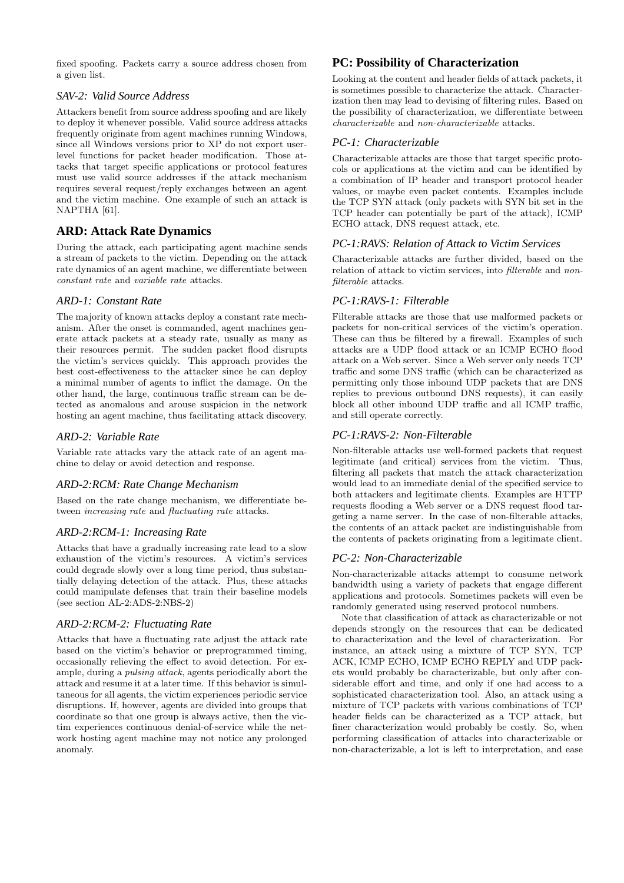fixed spoofing. Packets carry a source address chosen from a given list.

# *SAV-2: Valid Source Address*

Attackers benefit from source address spoofing and are likely to deploy it whenever possible. Valid source address attacks frequently originate from agent machines running Windows, since all Windows versions prior to XP do not export userlevel functions for packet header modification. Those attacks that target specific applications or protocol features must use valid source addresses if the attack mechanism requires several request/reply exchanges between an agent and the victim machine. One example of such an attack is NAPTHA [61].

# **ARD: Attack Rate Dynamics**

During the attack, each participating agent machine sends a stream of packets to the victim. Depending on the attack rate dynamics of an agent machine, we differentiate between constant rate and variable rate attacks.

# *ARD-1: Constant Rate*

The majority of known attacks deploy a constant rate mechanism. After the onset is commanded, agent machines generate attack packets at a steady rate, usually as many as their resources permit. The sudden packet flood disrupts the victim's services quickly. This approach provides the best cost-effectiveness to the attacker since he can deploy a minimal number of agents to inflict the damage. On the other hand, the large, continuous traffic stream can be detected as anomalous and arouse suspicion in the network hosting an agent machine, thus facilitating attack discovery.

# *ARD-2: Variable Rate*

Variable rate attacks vary the attack rate of an agent machine to delay or avoid detection and response.

# *ARD-2:RCM: Rate Change Mechanism*

Based on the rate change mechanism, we differentiate between increasing rate and fluctuating rate attacks.

# *ARD-2:RCM-1: Increasing Rate*

Attacks that have a gradually increasing rate lead to a slow exhaustion of the victim's resources. A victim's services could degrade slowly over a long time period, thus substantially delaying detection of the attack. Plus, these attacks could manipulate defenses that train their baseline models (see section AL-2:ADS-2:NBS-2)

# *ARD-2:RCM-2: Fluctuating Rate*

Attacks that have a fluctuating rate adjust the attack rate based on the victim's behavior or preprogrammed timing, occasionally relieving the effect to avoid detection. For example, during a pulsing attack, agents periodically abort the attack and resume it at a later time. If this behavior is simultaneous for all agents, the victim experiences periodic service disruptions. If, however, agents are divided into groups that coordinate so that one group is always active, then the victim experiences continuous denial-of-service while the network hosting agent machine may not notice any prolonged anomaly.

# **PC: Possibility of Characterization**

Looking at the content and header fields of attack packets, it is sometimes possible to characterize the attack. Characterization then may lead to devising of filtering rules. Based on the possibility of characterization, we differentiate between characterizable and non-characterizable attacks.

# *PC-1: Characterizable*

Characterizable attacks are those that target specific protocols or applications at the victim and can be identified by a combination of IP header and transport protocol header values, or maybe even packet contents. Examples include the TCP SYN attack (only packets with SYN bit set in the TCP header can potentially be part of the attack), ICMP ECHO attack, DNS request attack, etc.

# *PC-1:RAVS: Relation of Attack to Victim Services*

Characterizable attacks are further divided, based on the relation of attack to victim services, into filterable and nonfilterable attacks.

# *PC-1:RAVS-1: Filterable*

Filterable attacks are those that use malformed packets or packets for non-critical services of the victim's operation. These can thus be filtered by a firewall. Examples of such attacks are a UDP flood attack or an ICMP ECHO flood attack on a Web server. Since a Web server only needs TCP traffic and some DNS traffic (which can be characterized as permitting only those inbound UDP packets that are DNS replies to previous outbound DNS requests), it can easily block all other inbound UDP traffic and all ICMP traffic, and still operate correctly.

# *PC-1:RAVS-2: Non-Filterable*

Non-filterable attacks use well-formed packets that request legitimate (and critical) services from the victim. Thus, filtering all packets that match the attack characterization would lead to an immediate denial of the specified service to both attackers and legitimate clients. Examples are HTTP requests flooding a Web server or a DNS request flood targeting a name server. In the case of non-filterable attacks, the contents of an attack packet are indistinguishable from the contents of packets originating from a legitimate client.

# *PC-2: Non-Characterizable*

Non-characterizable attacks attempt to consume network bandwidth using a variety of packets that engage different applications and protocols. Sometimes packets will even be randomly generated using reserved protocol numbers.

Note that classification of attack as characterizable or not depends strongly on the resources that can be dedicated to characterization and the level of characterization. For instance, an attack using a mixture of TCP SYN, TCP ACK, ICMP ECHO, ICMP ECHO REPLY and UDP packets would probably be characterizable, but only after considerable effort and time, and only if one had access to a sophisticated characterization tool. Also, an attack using a mixture of TCP packets with various combinations of TCP header fields can be characterized as a TCP attack, but finer characterization would probably be costly. So, when performing classification of attacks into characterizable or non-characterizable, a lot is left to interpretation, and ease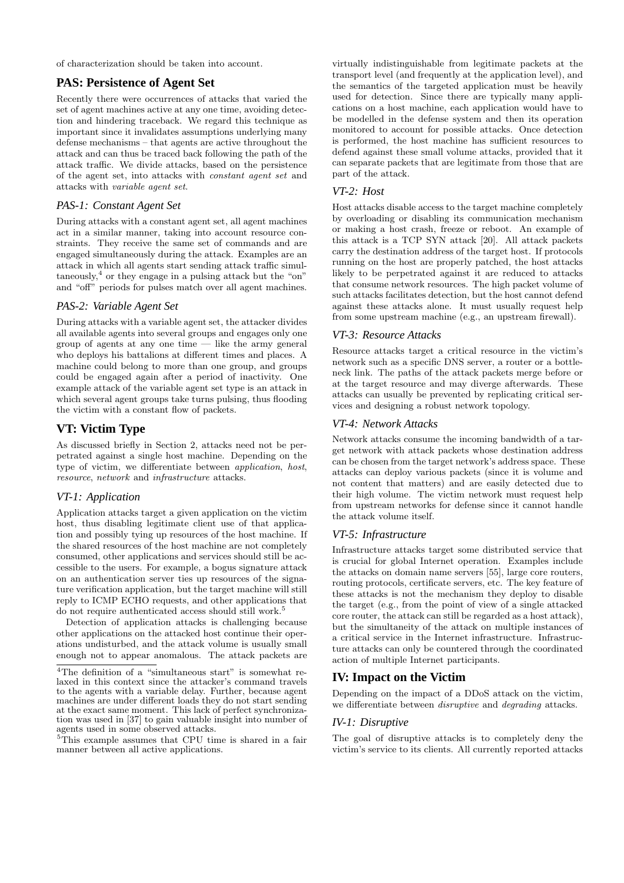of characterization should be taken into account.

#### **PAS: Persistence of Agent Set**

Recently there were occurrences of attacks that varied the set of agent machines active at any one time, avoiding detection and hindering traceback. We regard this technique as important since it invalidates assumptions underlying many defense mechanisms – that agents are active throughout the attack and can thus be traced back following the path of the attack traffic. We divide attacks, based on the persistence of the agent set, into attacks with constant agent set and attacks with variable agent set.

#### *PAS-1: Constant Agent Set*

During attacks with a constant agent set, all agent machines act in a similar manner, taking into account resource constraints. They receive the same set of commands and are engaged simultaneously during the attack. Examples are an attack in which all agents start sending attack traffic simultaneously,<sup>4</sup> or they engage in a pulsing attack but the "on" and "off" periods for pulses match over all agent machines.

### *PAS-2: Variable Agent Set*

During attacks with a variable agent set, the attacker divides all available agents into several groups and engages only one group of agents at any one time — like the army general who deploys his battalions at different times and places. A machine could belong to more than one group, and groups could be engaged again after a period of inactivity. One example attack of the variable agent set type is an attack in which several agent groups take turns pulsing, thus flooding the victim with a constant flow of packets.

# **VT: Victim Type**

As discussed briefly in Section 2, attacks need not be perpetrated against a single host machine. Depending on the type of victim, we differentiate between application, host, resource, network and infrastructure attacks.

#### *VT-1: Application*

Application attacks target a given application on the victim host, thus disabling legitimate client use of that application and possibly tying up resources of the host machine. If the shared resources of the host machine are not completely consumed, other applications and services should still be accessible to the users. For example, a bogus signature attack on an authentication server ties up resources of the signature verification application, but the target machine will still reply to ICMP ECHO requests, and other applications that do not require authenticated access should still work.<sup>5</sup>

Detection of application attacks is challenging because other applications on the attacked host continue their operations undisturbed, and the attack volume is usually small enough not to appear anomalous. The attack packets are

virtually indistinguishable from legitimate packets at the transport level (and frequently at the application level), and the semantics of the targeted application must be heavily used for detection. Since there are typically many applications on a host machine, each application would have to be modelled in the defense system and then its operation monitored to account for possible attacks. Once detection is performed, the host machine has sufficient resources to defend against these small volume attacks, provided that it can separate packets that are legitimate from those that are part of the attack.

### *VT-2: Host*

Host attacks disable access to the target machine completely by overloading or disabling its communication mechanism or making a host crash, freeze or reboot. An example of this attack is a TCP SYN attack [20]. All attack packets carry the destination address of the target host. If protocols running on the host are properly patched, the host attacks likely to be perpetrated against it are reduced to attacks that consume network resources. The high packet volume of such attacks facilitates detection, but the host cannot defend against these attacks alone. It must usually request help from some upstream machine (e.g., an upstream firewall).

#### *VT-3: Resource Attacks*

Resource attacks target a critical resource in the victim's network such as a specific DNS server, a router or a bottleneck link. The paths of the attack packets merge before or at the target resource and may diverge afterwards. These attacks can usually be prevented by replicating critical services and designing a robust network topology.

### *VT-4: Network Attacks*

Network attacks consume the incoming bandwidth of a target network with attack packets whose destination address can be chosen from the target network's address space. These attacks can deploy various packets (since it is volume and not content that matters) and are easily detected due to their high volume. The victim network must request help from upstream networks for defense since it cannot handle the attack volume itself.

#### *VT-5: Infrastructure*

Infrastructure attacks target some distributed service that is crucial for global Internet operation. Examples include the attacks on domain name servers [55], large core routers, routing protocols, certificate servers, etc. The key feature of these attacks is not the mechanism they deploy to disable the target (e.g., from the point of view of a single attacked core router, the attack can still be regarded as a host attack), but the simultaneity of the attack on multiple instances of a critical service in the Internet infrastructure. Infrastructure attacks can only be countered through the coordinated action of multiple Internet participants.

# **IV: Impact on the Victim**

Depending on the impact of a DDoS attack on the victim, we differentiate between disruptive and degrading attacks.

# *IV-1: Disruptive*

The goal of disruptive attacks is to completely deny the victim's service to its clients. All currently reported attacks

<sup>&</sup>lt;sup>4</sup>The definition of a "simultaneous start" is somewhat relaxed in this context since the attacker's command travels to the agents with a variable delay. Further, because agent machines are under different loads they do not start sending at the exact same moment. This lack of perfect synchronization was used in [37] to gain valuable insight into number of agents used in some observed attacks.

<sup>&</sup>lt;sup>5</sup>This example assumes that CPU time is shared in a fair manner between all active applications.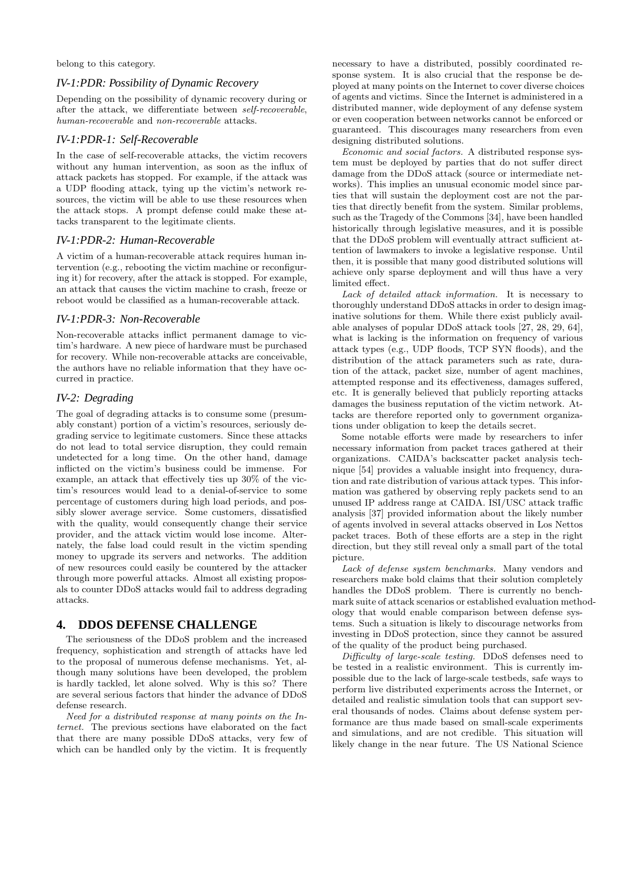belong to this category.

#### *IV-1:PDR: Possibility of Dynamic Recovery*

Depending on the possibility of dynamic recovery during or after the attack, we differentiate between self-recoverable, human-recoverable and non-recoverable attacks.

#### *IV-1:PDR-1: Self-Recoverable*

In the case of self-recoverable attacks, the victim recovers without any human intervention, as soon as the influx of attack packets has stopped. For example, if the attack was a UDP flooding attack, tying up the victim's network resources, the victim will be able to use these resources when the attack stops. A prompt defense could make these attacks transparent to the legitimate clients.

#### *IV-1:PDR-2: Human-Recoverable*

A victim of a human-recoverable attack requires human intervention (e.g., rebooting the victim machine or reconfiguring it) for recovery, after the attack is stopped. For example, an attack that causes the victim machine to crash, freeze or reboot would be classified as a human-recoverable attack.

#### *IV-1:PDR-3: Non-Recoverable*

Non-recoverable attacks inflict permanent damage to victim's hardware. A new piece of hardware must be purchased for recovery. While non-recoverable attacks are conceivable, the authors have no reliable information that they have occurred in practice.

# *IV-2: Degrading*

The goal of degrading attacks is to consume some (presumably constant) portion of a victim's resources, seriously degrading service to legitimate customers. Since these attacks do not lead to total service disruption, they could remain undetected for a long time. On the other hand, damage inflicted on the victim's business could be immense. For example, an attack that effectively ties up 30% of the victim's resources would lead to a denial-of-service to some percentage of customers during high load periods, and possibly slower average service. Some customers, dissatisfied with the quality, would consequently change their service provider, and the attack victim would lose income. Alternately, the false load could result in the victim spending money to upgrade its servers and networks. The addition of new resources could easily be countered by the attacker through more powerful attacks. Almost all existing proposals to counter DDoS attacks would fail to address degrading attacks.

# **4. DDOS DEFENSE CHALLENGE**

The seriousness of the DDoS problem and the increased frequency, sophistication and strength of attacks have led to the proposal of numerous defense mechanisms. Yet, although many solutions have been developed, the problem is hardly tackled, let alone solved. Why is this so? There are several serious factors that hinder the advance of DDoS defense research.

Need for a distributed response at many points on the Internet. The previous sections have elaborated on the fact that there are many possible DDoS attacks, very few of which can be handled only by the victim. It is frequently

necessary to have a distributed, possibly coordinated response system. It is also crucial that the response be deployed at many points on the Internet to cover diverse choices of agents and victims. Since the Internet is administered in a distributed manner, wide deployment of any defense system or even cooperation between networks cannot be enforced or guaranteed. This discourages many researchers from even designing distributed solutions.

Economic and social factors. A distributed response system must be deployed by parties that do not suffer direct damage from the DDoS attack (source or intermediate networks). This implies an unusual economic model since parties that will sustain the deployment cost are not the parties that directly benefit from the system. Similar problems, such as the Tragedy of the Commons [34], have been handled historically through legislative measures, and it is possible that the DDoS problem will eventually attract sufficient attention of lawmakers to invoke a legislative response. Until then, it is possible that many good distributed solutions will achieve only sparse deployment and will thus have a very limited effect.

Lack of detailed attack information. It is necessary to thoroughly understand DDoS attacks in order to design imaginative solutions for them. While there exist publicly available analyses of popular DDoS attack tools [27, 28, 29, 64], what is lacking is the information on frequency of various attack types (e.g., UDP floods, TCP SYN floods), and the distribution of the attack parameters such as rate, duration of the attack, packet size, number of agent machines, attempted response and its effectiveness, damages suffered, etc. It is generally believed that publicly reporting attacks damages the business reputation of the victim network. Attacks are therefore reported only to government organizations under obligation to keep the details secret.

Some notable efforts were made by researchers to infer necessary information from packet traces gathered at their organizations. CAIDA's backscatter packet analysis technique [54] provides a valuable insight into frequency, duration and rate distribution of various attack types. This information was gathered by observing reply packets send to an unused IP address range at CAIDA. ISI/USC attack traffic analysis [37] provided information about the likely number of agents involved in several attacks observed in Los Nettos packet traces. Both of these efforts are a step in the right direction, but they still reveal only a small part of the total picture.

Lack of defense system benchmarks. Many vendors and researchers make bold claims that their solution completely handles the DDoS problem. There is currently no benchmark suite of attack scenarios or established evaluation methodology that would enable comparison between defense systems. Such a situation is likely to discourage networks from investing in DDoS protection, since they cannot be assured of the quality of the product being purchased.

Difficulty of large-scale testing. DDoS defenses need to be tested in a realistic environment. This is currently impossible due to the lack of large-scale testbeds, safe ways to perform live distributed experiments across the Internet, or detailed and realistic simulation tools that can support several thousands of nodes. Claims about defense system performance are thus made based on small-scale experiments and simulations, and are not credible. This situation will likely change in the near future. The US National Science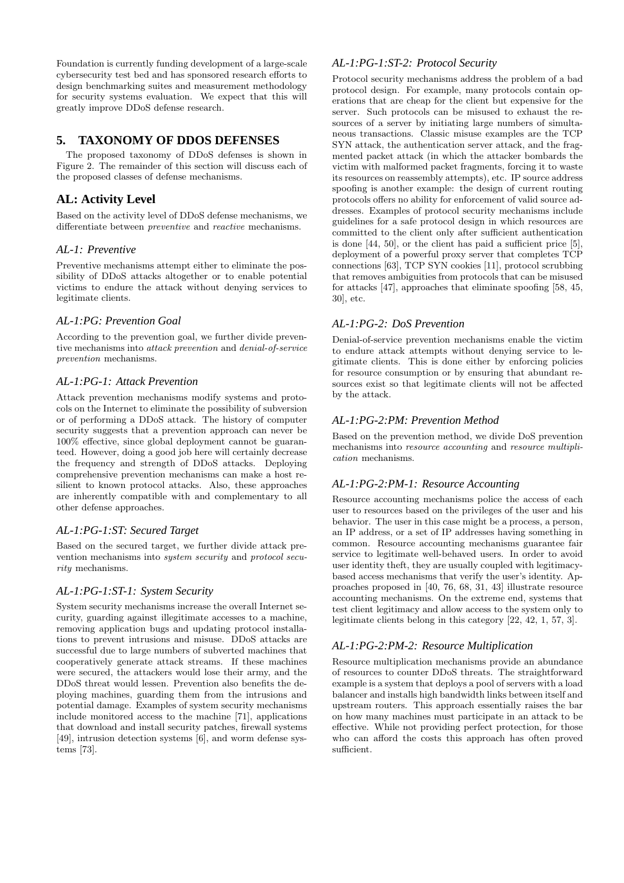Foundation is currently funding development of a large-scale cybersecurity test bed and has sponsored research efforts to design benchmarking suites and measurement methodology for security systems evaluation. We expect that this will greatly improve DDoS defense research.

# **5. TAXONOMY OF DDOS DEFENSES**

The proposed taxonomy of DDoS defenses is shown in Figure 2. The remainder of this section will discuss each of the proposed classes of defense mechanisms.

# **AL: Activity Level**

Based on the activity level of DDoS defense mechanisms, we differentiate between preventive and reactive mechanisms.

# *AL-1: Preventive*

Preventive mechanisms attempt either to eliminate the possibility of DDoS attacks altogether or to enable potential victims to endure the attack without denying services to legitimate clients.

# *AL-1:PG: Prevention Goal*

According to the prevention goal, we further divide preventive mechanisms into attack prevention and denial-of-service prevention mechanisms.

# *AL-1:PG-1: Attack Prevention*

Attack prevention mechanisms modify systems and protocols on the Internet to eliminate the possibility of subversion or of performing a DDoS attack. The history of computer security suggests that a prevention approach can never be 100% effective, since global deployment cannot be guaranteed. However, doing a good job here will certainly decrease the frequency and strength of DDoS attacks. Deploying comprehensive prevention mechanisms can make a host resilient to known protocol attacks. Also, these approaches are inherently compatible with and complementary to all other defense approaches.

# *AL-1:PG-1:ST: Secured Target*

Based on the secured target, we further divide attack prevention mechanisms into system security and protocol security mechanisms.

# *AL-1:PG-1:ST-1: System Security*

System security mechanisms increase the overall Internet security, guarding against illegitimate accesses to a machine, removing application bugs and updating protocol installations to prevent intrusions and misuse. DDoS attacks are successful due to large numbers of subverted machines that cooperatively generate attack streams. If these machines were secured, the attackers would lose their army, and the DDoS threat would lessen. Prevention also benefits the deploying machines, guarding them from the intrusions and potential damage. Examples of system security mechanisms include monitored access to the machine [71], applications that download and install security patches, firewall systems [49], intrusion detection systems [6], and worm defense systems [73].

# *AL-1:PG-1:ST-2: Protocol Security*

Protocol security mechanisms address the problem of a bad protocol design. For example, many protocols contain operations that are cheap for the client but expensive for the server. Such protocols can be misused to exhaust the resources of a server by initiating large numbers of simultaneous transactions. Classic misuse examples are the TCP SYN attack, the authentication server attack, and the fragmented packet attack (in which the attacker bombards the victim with malformed packet fragments, forcing it to waste its resources on reassembly attempts), etc. IP source address spoofing is another example: the design of current routing protocols offers no ability for enforcement of valid source addresses. Examples of protocol security mechanisms include guidelines for a safe protocol design in which resources are committed to the client only after sufficient authentication is done [44, 50], or the client has paid a sufficient price [5], deployment of a powerful proxy server that completes TCP connections [63], TCP SYN cookies [11], protocol scrubbing that removes ambiguities from protocols that can be misused for attacks [47], approaches that eliminate spoofing [58, 45, 30], etc.

# *AL-1:PG-2: DoS Prevention*

Denial-of-service prevention mechanisms enable the victim to endure attack attempts without denying service to legitimate clients. This is done either by enforcing policies for resource consumption or by ensuring that abundant resources exist so that legitimate clients will not be affected by the attack.

# *AL-1:PG-2:PM: Prevention Method*

Based on the prevention method, we divide DoS prevention mechanisms into resource accounting and resource multiplication mechanisms.

# *AL-1:PG-2:PM-1: Resource Accounting*

Resource accounting mechanisms police the access of each user to resources based on the privileges of the user and his behavior. The user in this case might be a process, a person, an IP address, or a set of IP addresses having something in common. Resource accounting mechanisms guarantee fair service to legitimate well-behaved users. In order to avoid user identity theft, they are usually coupled with legitimacybased access mechanisms that verify the user's identity. Approaches proposed in [40, 76, 68, 31, 43] illustrate resource accounting mechanisms. On the extreme end, systems that test client legitimacy and allow access to the system only to legitimate clients belong in this category [22, 42, 1, 57, 3].

# *AL-1:PG-2:PM-2: Resource Multiplication*

Resource multiplication mechanisms provide an abundance of resources to counter DDoS threats. The straightforward example is a system that deploys a pool of servers with a load balancer and installs high bandwidth links between itself and upstream routers. This approach essentially raises the bar on how many machines must participate in an attack to be effective. While not providing perfect protection, for those who can afford the costs this approach has often proved sufficient.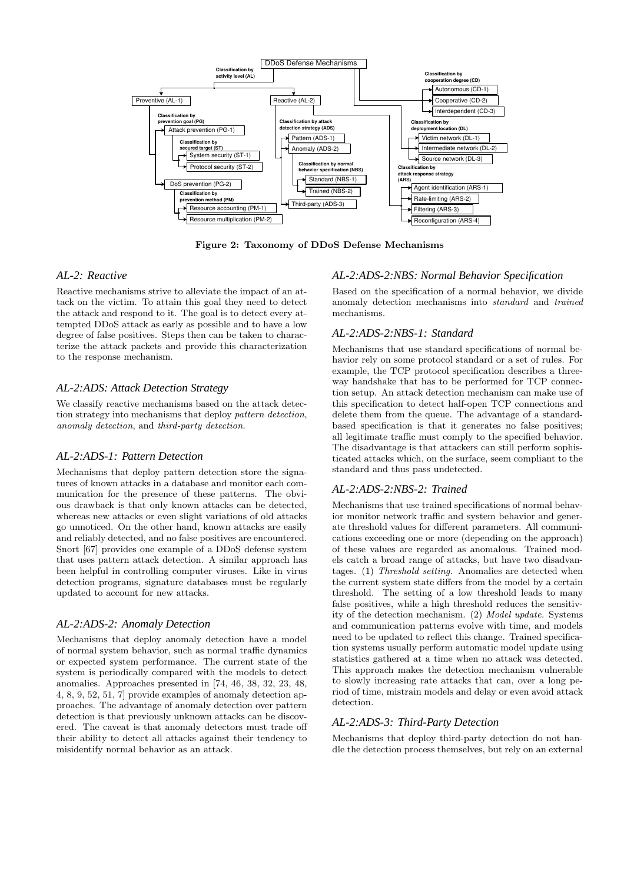

Figure 2: Taxonomy of DDoS Defense Mechanisms

# *AL-2: Reactive*

Reactive mechanisms strive to alleviate the impact of an attack on the victim. To attain this goal they need to detect the attack and respond to it. The goal is to detect every attempted DDoS attack as early as possible and to have a low degree of false positives. Steps then can be taken to characterize the attack packets and provide this characterization to the response mechanism.

### *AL-2:ADS: Attack Detection Strategy*

We classify reactive mechanisms based on the attack detection strategy into mechanisms that deploy pattern detection, anomaly detection, and third-party detection.

### *AL-2:ADS-1: Pattern Detection*

Mechanisms that deploy pattern detection store the signatures of known attacks in a database and monitor each communication for the presence of these patterns. The obvious drawback is that only known attacks can be detected, whereas new attacks or even slight variations of old attacks go unnoticed. On the other hand, known attacks are easily and reliably detected, and no false positives are encountered. Snort [67] provides one example of a DDoS defense system that uses pattern attack detection. A similar approach has been helpful in controlling computer viruses. Like in virus detection programs, signature databases must be regularly updated to account for new attacks.

#### *AL-2:ADS-2: Anomaly Detection*

Mechanisms that deploy anomaly detection have a model of normal system behavior, such as normal traffic dynamics or expected system performance. The current state of the system is periodically compared with the models to detect anomalies. Approaches presented in [74, 46, 38, 32, 23, 48, 4, 8, 9, 52, 51, 7] provide examples of anomaly detection approaches. The advantage of anomaly detection over pattern detection is that previously unknown attacks can be discovered. The caveat is that anomaly detectors must trade off their ability to detect all attacks against their tendency to misidentify normal behavior as an attack.

### *AL-2:ADS-2:NBS: Normal Behavior Specification*

Based on the specification of a normal behavior, we divide anomaly detection mechanisms into standard and trained mechanisms.

#### *AL-2:ADS-2:NBS-1: Standard*

Mechanisms that use standard specifications of normal behavior rely on some protocol standard or a set of rules. For example, the TCP protocol specification describes a threeway handshake that has to be performed for TCP connection setup. An attack detection mechanism can make use of this specification to detect half-open TCP connections and delete them from the queue. The advantage of a standardbased specification is that it generates no false positives; all legitimate traffic must comply to the specified behavior. The disadvantage is that attackers can still perform sophisticated attacks which, on the surface, seem compliant to the standard and thus pass undetected.

# *AL-2:ADS-2:NBS-2: Trained*

Mechanisms that use trained specifications of normal behavior monitor network traffic and system behavior and generate threshold values for different parameters. All communications exceeding one or more (depending on the approach) of these values are regarded as anomalous. Trained models catch a broad range of attacks, but have two disadvantages. (1) Threshold setting. Anomalies are detected when the current system state differs from the model by a certain threshold. The setting of a low threshold leads to many false positives, while a high threshold reduces the sensitivity of the detection mechanism. (2) Model update. Systems and communication patterns evolve with time, and models need to be updated to reflect this change. Trained specification systems usually perform automatic model update using statistics gathered at a time when no attack was detected. This approach makes the detection mechanism vulnerable to slowly increasing rate attacks that can, over a long period of time, mistrain models and delay or even avoid attack detection.

#### *AL-2:ADS-3: Third-Party Detection*

Mechanisms that deploy third-party detection do not handle the detection process themselves, but rely on an external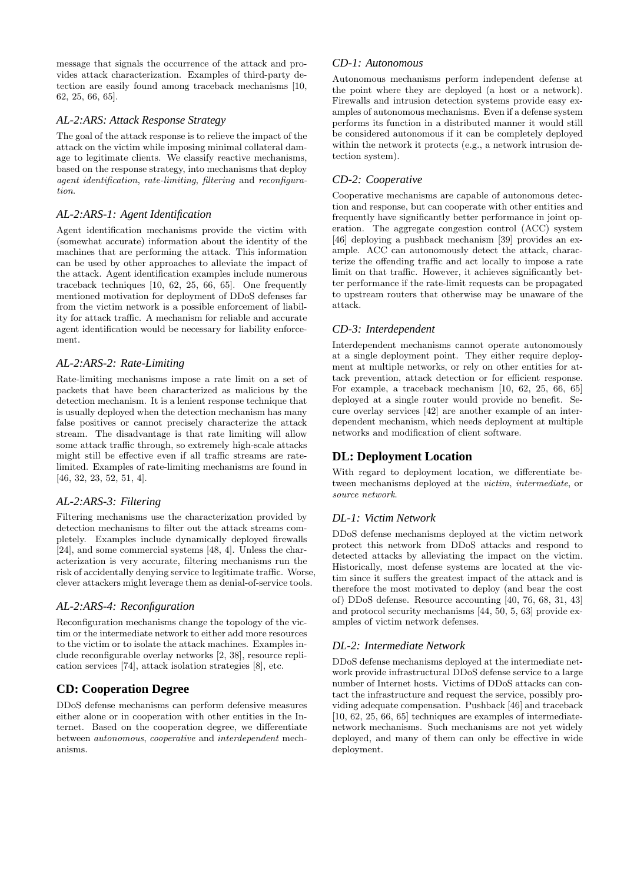message that signals the occurrence of the attack and provides attack characterization. Examples of third-party detection are easily found among traceback mechanisms [10, 62, 25, 66, 65].

# *AL-2:ARS: Attack Response Strategy*

The goal of the attack response is to relieve the impact of the attack on the victim while imposing minimal collateral damage to legitimate clients. We classify reactive mechanisms, based on the response strategy, into mechanisms that deploy agent identification, rate-limiting, filtering and reconfiguration.

# *AL-2:ARS-1: Agent Identification*

Agent identification mechanisms provide the victim with (somewhat accurate) information about the identity of the machines that are performing the attack. This information can be used by other approaches to alleviate the impact of the attack. Agent identification examples include numerous traceback techniques [10, 62, 25, 66, 65]. One frequently mentioned motivation for deployment of DDoS defenses far from the victim network is a possible enforcement of liability for attack traffic. A mechanism for reliable and accurate agent identification would be necessary for liability enforcement.

# *AL-2:ARS-2: Rate-Limiting*

Rate-limiting mechanisms impose a rate limit on a set of packets that have been characterized as malicious by the detection mechanism. It is a lenient response technique that is usually deployed when the detection mechanism has many false positives or cannot precisely characterize the attack stream. The disadvantage is that rate limiting will allow some attack traffic through, so extremely high-scale attacks might still be effective even if all traffic streams are ratelimited. Examples of rate-limiting mechanisms are found in [46, 32, 23, 52, 51, 4].

# *AL-2:ARS-3: Filtering*

Filtering mechanisms use the characterization provided by detection mechanisms to filter out the attack streams completely. Examples include dynamically deployed firewalls [24], and some commercial systems [48, 4]. Unless the characterization is very accurate, filtering mechanisms run the risk of accidentally denying service to legitimate traffic. Worse, clever attackers might leverage them as denial-of-service tools.

# *AL-2:ARS-4: Reconfiguration*

Reconfiguration mechanisms change the topology of the victim or the intermediate network to either add more resources to the victim or to isolate the attack machines. Examples include reconfigurable overlay networks [2, 38], resource replication services [74], attack isolation strategies [8], etc.

# **CD: Cooperation Degree**

DDoS defense mechanisms can perform defensive measures either alone or in cooperation with other entities in the Internet. Based on the cooperation degree, we differentiate between autonomous, cooperative and interdependent mechanisms.

# *CD-1: Autonomous*

Autonomous mechanisms perform independent defense at the point where they are deployed (a host or a network). Firewalls and intrusion detection systems provide easy examples of autonomous mechanisms. Even if a defense system performs its function in a distributed manner it would still be considered autonomous if it can be completely deployed within the network it protects (e.g., a network intrusion detection system).

# *CD-2: Cooperative*

Cooperative mechanisms are capable of autonomous detection and response, but can cooperate with other entities and frequently have significantly better performance in joint operation. The aggregate congestion control (ACC) system [46] deploying a pushback mechanism [39] provides an example. ACC can autonomously detect the attack, characterize the offending traffic and act locally to impose a rate limit on that traffic. However, it achieves significantly better performance if the rate-limit requests can be propagated to upstream routers that otherwise may be unaware of the attack.

# *CD-3: Interdependent*

Interdependent mechanisms cannot operate autonomously at a single deployment point. They either require deployment at multiple networks, or rely on other entities for attack prevention, attack detection or for efficient response. For example, a traceback mechanism [10, 62, 25, 66, 65] deployed at a single router would provide no benefit. Secure overlay services [42] are another example of an interdependent mechanism, which needs deployment at multiple networks and modification of client software.

# **DL: Deployment Location**

With regard to deployment location, we differentiate between mechanisms deployed at the victim, intermediate, or source network.

# *DL-1: Victim Network*

DDoS defense mechanisms deployed at the victim network protect this network from DDoS attacks and respond to detected attacks by alleviating the impact on the victim. Historically, most defense systems are located at the victim since it suffers the greatest impact of the attack and is therefore the most motivated to deploy (and bear the cost of) DDoS defense. Resource accounting [40, 76, 68, 31, 43] and protocol security mechanisms [44, 50, 5, 63] provide examples of victim network defenses.

# *DL-2: Intermediate Network*

DDoS defense mechanisms deployed at the intermediate network provide infrastructural DDoS defense service to a large number of Internet hosts. Victims of DDoS attacks can contact the infrastructure and request the service, possibly providing adequate compensation. Pushback [46] and traceback [10, 62, 25, 66, 65] techniques are examples of intermediatenetwork mechanisms. Such mechanisms are not yet widely deployed, and many of them can only be effective in wide deployment.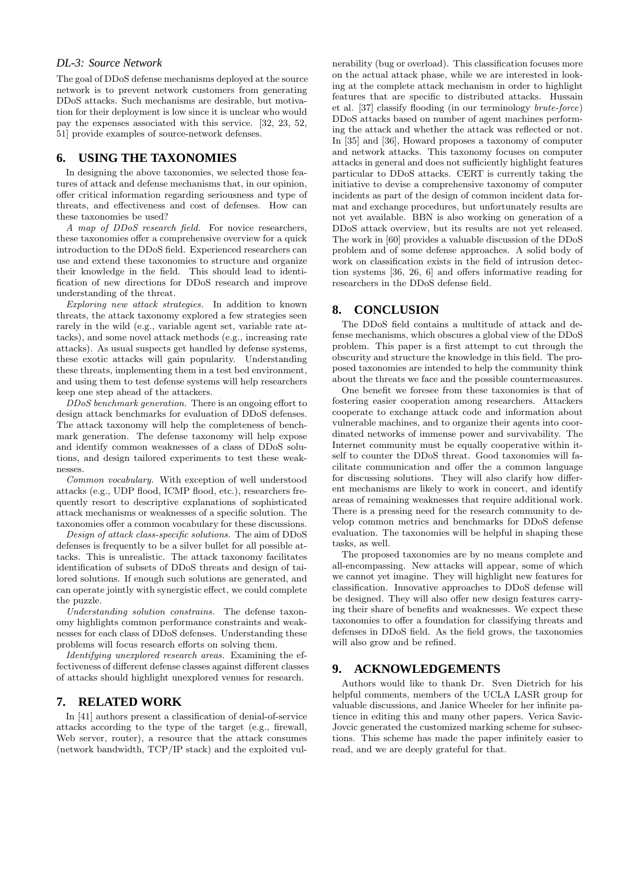#### *DL-3: Source Network*

The goal of DDoS defense mechanisms deployed at the source network is to prevent network customers from generating DDoS attacks. Such mechanisms are desirable, but motivation for their deployment is low since it is unclear who would pay the expenses associated with this service. [32, 23, 52, 51] provide examples of source-network defenses.

#### **6. USING THE TAXONOMIES**

In designing the above taxonomies, we selected those features of attack and defense mechanisms that, in our opinion, offer critical information regarding seriousness and type of threats, and effectiveness and cost of defenses. How can these taxonomies be used?

A map of DDoS research field. For novice researchers, these taxonomies offer a comprehensive overview for a quick introduction to the DDoS field. Experienced researchers can use and extend these taxonomies to structure and organize their knowledge in the field. This should lead to identification of new directions for DDoS research and improve understanding of the threat.

Exploring new attack strategies. In addition to known threats, the attack taxonomy explored a few strategies seen rarely in the wild (e.g., variable agent set, variable rate attacks), and some novel attack methods (e.g., increasing rate attacks). As usual suspects get handled by defense systems, these exotic attacks will gain popularity. Understanding these threats, implementing them in a test bed environment, and using them to test defense systems will help researchers keep one step ahead of the attackers.

DDoS benchmark generation. There is an ongoing effort to design attack benchmarks for evaluation of DDoS defenses. The attack taxonomy will help the completeness of benchmark generation. The defense taxonomy will help expose and identify common weaknesses of a class of DDoS solutions, and design tailored experiments to test these weaknesses.

Common vocabulary. With exception of well understood attacks (e.g., UDP flood, ICMP flood, etc.), researchers frequently resort to descriptive explanations of sophisticated attack mechanisms or weaknesses of a specific solution. The taxonomies offer a common vocabulary for these discussions.

Design of attack class-specific solutions. The aim of DDoS defenses is frequently to be a silver bullet for all possible attacks. This is unrealistic. The attack taxonomy facilitates identification of subsets of DDoS threats and design of tailored solutions. If enough such solutions are generated, and can operate jointly with synergistic effect, we could complete the puzzle.

Understanding solution constrains. The defense taxonomy highlights common performance constraints and weaknesses for each class of DDoS defenses. Understanding these problems will focus research efforts on solving them.

Identifying unexplored research areas. Examining the effectiveness of different defense classes against different classes of attacks should highlight unexplored venues for research.

# **7. RELATED WORK**

In [41] authors present a classification of denial-of-service attacks according to the type of the target (e.g., firewall, Web server, router), a resource that the attack consumes (network bandwidth, TCP/IP stack) and the exploited vul-

nerability (bug or overload). This classification focuses more on the actual attack phase, while we are interested in looking at the complete attack mechanism in order to highlight features that are specific to distributed attacks. Hussain et al. [37] classify flooding (in our terminology brute-force) DDoS attacks based on number of agent machines performing the attack and whether the attack was reflected or not. In [35] and [36], Howard proposes a taxonomy of computer and network attacks. This taxonomy focuses on computer attacks in general and does not sufficiently highlight features particular to DDoS attacks. CERT is currently taking the initiative to devise a comprehensive taxonomy of computer incidents as part of the design of common incident data format and exchange procedures, but unfortunately results are not yet available. BBN is also working on generation of a DDoS attack overview, but its results are not yet released. The work in [60] provides a valuable discussion of the DDoS problem and of some defense approaches. A solid body of work on classification exists in the field of intrusion detection systems [36, 26, 6] and offers informative reading for researchers in the DDoS defense field.

# **8. CONCLUSION**

The DDoS field contains a multitude of attack and defense mechanisms, which obscures a global view of the DDoS problem. This paper is a first attempt to cut through the obscurity and structure the knowledge in this field. The proposed taxonomies are intended to help the community think about the threats we face and the possible countermeasures.

One benefit we foresee from these taxonomies is that of fostering easier cooperation among researchers. Attackers cooperate to exchange attack code and information about vulnerable machines, and to organize their agents into coordinated networks of immense power and survivability. The Internet community must be equally cooperative within itself to counter the DDoS threat. Good taxonomies will facilitate communication and offer the a common language for discussing solutions. They will also clarify how different mechanisms are likely to work in concert, and identify areas of remaining weaknesses that require additional work. There is a pressing need for the research community to develop common metrics and benchmarks for DDoS defense evaluation. The taxonomies will be helpful in shaping these tasks, as well.

The proposed taxonomies are by no means complete and all-encompassing. New attacks will appear, some of which we cannot yet imagine. They will highlight new features for classification. Innovative approaches to DDoS defense will be designed. They will also offer new design features carrying their share of benefits and weaknesses. We expect these taxonomies to offer a foundation for classifying threats and defenses in DDoS field. As the field grows, the taxonomies will also grow and be refined.

#### **9. ACKNOWLEDGEMENTS**

Authors would like to thank Dr. Sven Dietrich for his helpful comments, members of the UCLA LASR group for valuable discussions, and Janice Wheeler for her infinite patience in editing this and many other papers. Verica Savic-Jovcic generated the customized marking scheme for subsections. This scheme has made the paper infinitely easier to read, and we are deeply grateful for that.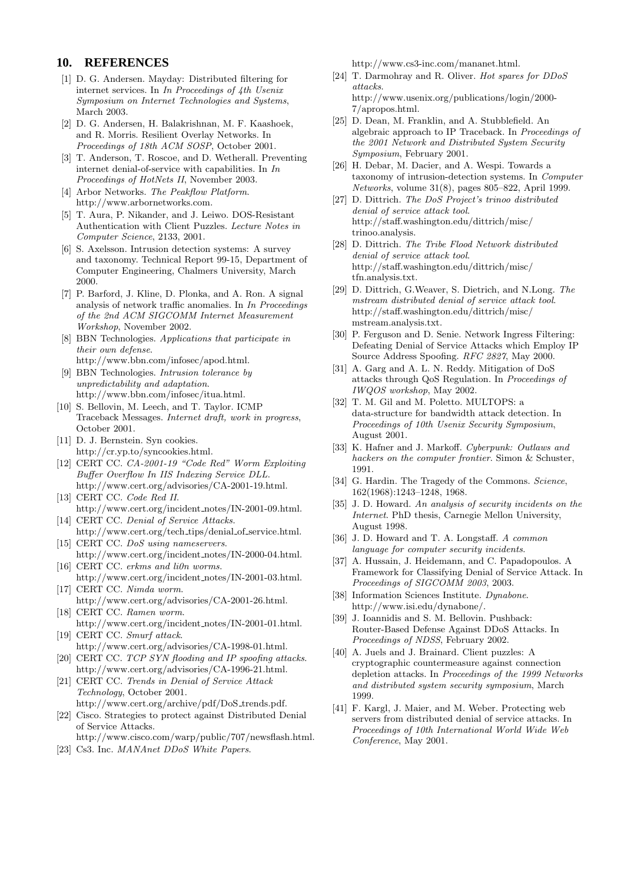# **10. REFERENCES**

- [1] D. G. Andersen. Mayday: Distributed filtering for internet services. In In Proceedings of 4th Usenix Symposium on Internet Technologies and Systems, March 2003.
- [2] D. G. Andersen, H. Balakrishnan, M. F. Kaashoek, and R. Morris. Resilient Overlay Networks. In Proceedings of 18th ACM SOSP, October 2001.
- [3] T. Anderson, T. Roscoe, and D. Wetherall. Preventing internet denial-of-service with capabilities. In In Proceedings of HotNets II, November 2003.
- [4] Arbor Networks. The Peakflow Platform. http://www.arbornetworks.com.
- [5] T. Aura, P. Nikander, and J. Leiwo. DOS-Resistant Authentication with Client Puzzles. Lecture Notes in Computer Science, 2133, 2001.
- [6] S. Axelsson. Intrusion detection systems: A survey and taxonomy. Technical Report 99-15, Department of Computer Engineering, Chalmers University, March 2000.
- [7] P. Barford, J. Kline, D. Plonka, and A. Ron. A signal analysis of network traffic anomalies. In In Proceedings of the 2nd ACM SIGCOMM Internet Measurement Workshop, November 2002.
- [8] BBN Technologies. Applications that participate in their own defense. http://www.bbn.com/infosec/apod.html.
- [9] BBN Technologies. Intrusion tolerance by unpredictability and adaptation. http://www.bbn.com/infosec/itua.html.
- [10] S. Bellovin, M. Leech, and T. Taylor. ICMP Traceback Messages. Internet draft, work in progress, October 2001.
- [11] D. J. Bernstein. Syn cookies. http://cr.yp.to/syncookies.html.
- [12] CERT CC. CA-2001-19 "Code Red" Worm Exploiting Buffer Overflow In IIS Indexing Service DLL. http://www.cert.org/advisories/CA-2001-19.html.
- [13] CERT CC. Code Red II. http://www.cert.org/incident notes/IN-2001-09.html.
- [14] CERT CC. Denial of Service Attacks. http://www.cert.org/tech tips/denial of service.html.
- [15] CERT CC. DoS using nameservers. http://www.cert.org/incident notes/IN-2000-04.html.
- [16] CERT CC. erkms and li0n worms. http://www.cert.org/incident notes/IN-2001-03.html. [17] CERT CC. Nimda worm.
- http://www.cert.org/advisories/CA-2001-26.html. [18] CERT CC. Ramen worm.
- http://www.cert.org/incident notes/IN-2001-01.html. [19] CERT CC. Smurf attack.
- http://www.cert.org/advisories/CA-1998-01.html.
- [20] CERT CC. TCP SYN flooding and IP spoofing attacks. http://www.cert.org/advisories/CA-1996-21.html.
- [21] CERT CC. Trends in Denial of Service Attack Technology, October 2001. http://www.cert.org/archive/pdf/DoS\_trends.pdf.
- [22] Cisco. Strategies to protect against Distributed Denial of Service Attacks.
- http://www.cisco.com/warp/public/707/newsflash.html. [23] Cs3. Inc. MANAnet DDoS White Papers.

http://www.cs3-inc.com/mananet.html.

- [24] T. Darmohray and R. Oliver. Hot spares for DDoS attacks. http://www.usenix.org/publications/login/2000- 7/apropos.html.
- [25] D. Dean, M. Franklin, and A. Stubblefield. An algebraic approach to IP Traceback. In Proceedings of the 2001 Network and Distributed System Security Symposium, February 2001.
- [26] H. Debar, M. Dacier, and A. Wespi. Towards a taxonomy of intrusion-detection systems. In Computer Networks, volume 31(8), pages 805–822, April 1999.
- [27] D. Dittrich. The DoS Project's trinoo distributed denial of service attack tool. http://staff.washington.edu/dittrich/misc/ trinoo.analysis.
- [28] D. Dittrich. The Tribe Flood Network distributed denial of service attack tool. http://staff.washington.edu/dittrich/misc/ tfn.analysis.txt.
- [29] D. Dittrich, G.Weaver, S. Dietrich, and N.Long. The mstream distributed denial of service attack tool. http://staff.washington.edu/dittrich/misc/ mstream.analysis.txt.
- [30] P. Ferguson and D. Senie. Network Ingress Filtering: Defeating Denial of Service Attacks which Employ IP Source Address Spoofing. RFC 2827, May 2000.
- [31] A. Garg and A. L. N. Reddy. Mitigation of DoS attacks through QoS Regulation. In Proceedings of IWQOS workshop, May 2002.
- [32] T. M. Gil and M. Poletto. MULTOPS: a data-structure for bandwidth attack detection. In Proceedings of 10th Usenix Security Symposium, August 2001.
- [33] K. Hafner and J. Markoff. Cyberpunk: Outlaws and hackers on the computer frontier. Simon & Schuster, 1991.
- [34] G. Hardin. The Tragedy of the Commons. Science, 162(1968):1243–1248, 1968.
- [35] J. D. Howard. An analysis of security incidents on the Internet. PhD thesis, Carnegie Mellon University, August 1998.
- [36] J. D. Howard and T. A. Longstaff. A common language for computer security incidents.
- [37] A. Hussain, J. Heidemann, and C. Papadopoulos. A Framework for Classifying Denial of Service Attack. In Proceedings of SIGCOMM 2003, 2003.
- [38] Information Sciences Institute. Dynabone. http://www.isi.edu/dynabone/.
- [39] J. Ioannidis and S. M. Bellovin. Pushback: Router-Based Defense Against DDoS Attacks. In Proceedings of NDSS, February 2002.
- [40] A. Juels and J. Brainard. Client puzzles: A cryptographic countermeasure against connection depletion attacks. In Proceedings of the 1999 Networks and distributed system security symposium, March 1999.
- [41] F. Kargl, J. Maier, and M. Weber. Protecting web servers from distributed denial of service attacks. In Proceedings of 10th International World Wide Web Conference, May 2001.